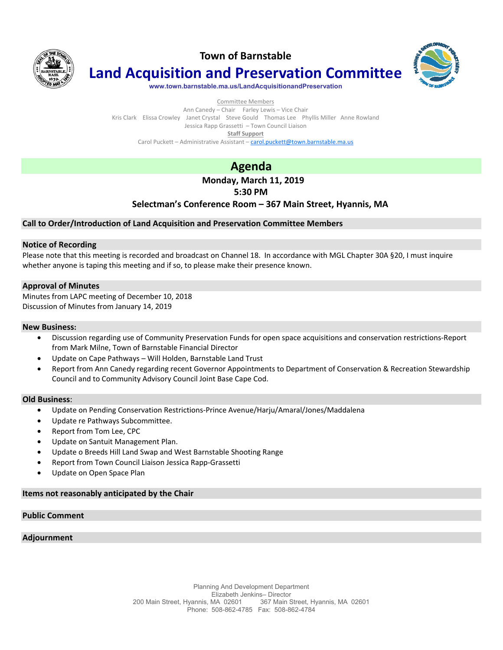

**Town of Barnstable**



**Land Acquisition and Preservation Committee**

**www.town.barnstable.ma.us/LandAcquisitionandPreservation**

Committee Members Ann Canedy – Chair Farley Lewis – Vice Chair Kris Clark Elissa Crowley Janet Crystal Steve Gould Thomas Lee Phyllis Miller Anne Rowland Jessica Rapp Grassetti – Town Council Liaison **Staff Support**  Carol Puckett – Administrative Assistant – carol.puckett@town.barnstable.ma.us

# **Agenda**

## **Monday, March 11, 2019**

## **5:30 PM**

### **Selectman's Conference Room – 367 Main Street, Hyannis, MA**

#### **Call to Order/Introduction of Land Acquisition and Preservation Committee Members**

#### **Notice of Recording**

Please note that this meeting is recorded and broadcast on Channel 18. In accordance with MGL Chapter 30A §20, I must inquire whether anyone is taping this meeting and if so, to please make their presence known.

#### **Approval of Minutes**

Minutes from LAPC meeting of December 10, 2018 Discussion of Minutes from January 14, 2019

#### **New Business:**

- Discussion regarding use of Community Preservation Funds for open space acquisitions and conservation restrictions-Report from Mark Milne, Town of Barnstable Financial Director
- Update on Cape Pathways Will Holden, Barnstable Land Trust
- Report from Ann Canedy regarding recent Governor Appointments to Department of Conservation & Recreation Stewardship Council and to Community Advisory Council Joint Base Cape Cod.

#### **Old Business**:

- Update on Pending Conservation Restrictions-Prince Avenue/Harju/Amaral/Jones/Maddalena
- Update re Pathways Subcommittee.
- Report from Tom Lee, CPC
- Update on Santuit Management Plan.
- Update o Breeds Hill Land Swap and West Barnstable Shooting Range
- Report from Town Council Liaison Jessica Rapp-Grassetti
- Update on Open Space Plan

#### **Items not reasonably anticipated by the Chair**

### **Public Comment**

#### **Adjournment**